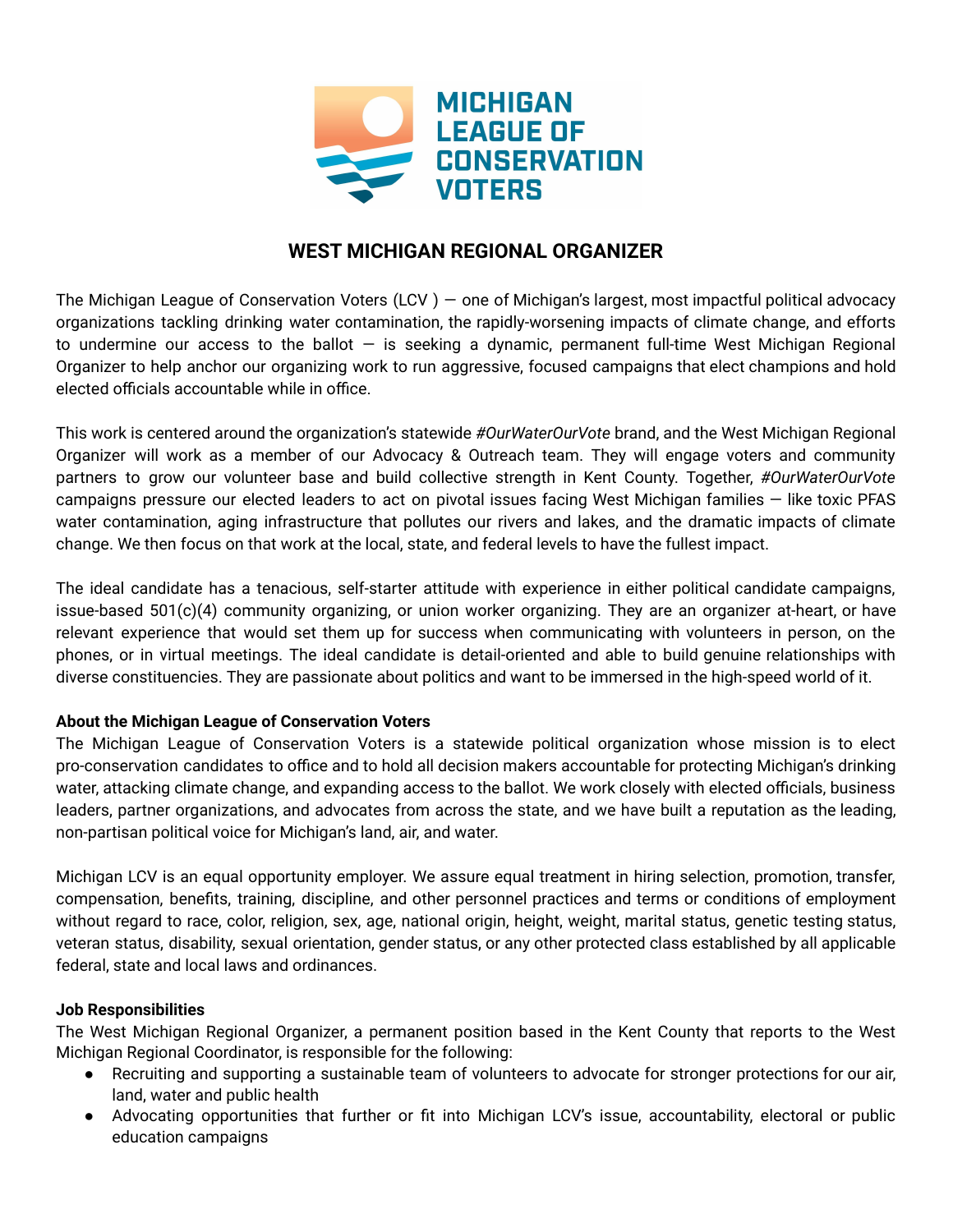

# **WEST MICHIGAN REGIONAL ORGANIZER**

The Michigan League of Conservation Voters (LCV ) — one of Michigan's largest, most impactful political advocacy organizations tackling drinking water contamination, the rapidly-worsening impacts of climate change, and efforts to undermine our access to the ballot  $-$  is seeking a dynamic, permanent full-time West Michigan Regional Organizer to help anchor our organizing work to run aggressive, focused campaigns that elect champions and hold elected officials accountable while in office.

This work is centered around the organization's statewide *#OurWaterOurVote* brand, and the West Michigan Regional Organizer will work as a member of our Advocacy & Outreach team. They will engage voters and community partners to grow our volunteer base and build collective strength in Kent County. Together, *#OurWaterOurVote* campaigns pressure our elected leaders to act on pivotal issues facing West Michigan families — like toxic PFAS water contamination, aging infrastructure that pollutes our rivers and lakes, and the dramatic impacts of climate change. We then focus on that work at the local, state, and federal levels to have the fullest impact.

The ideal candidate has a tenacious, self-starter attitude with experience in either political candidate campaigns, issue-based 501(c)(4) community organizing, or union worker organizing. They are an organizer at-heart, or have relevant experience that would set them up for success when communicating with volunteers in person, on the phones, or in virtual meetings. The ideal candidate is detail-oriented and able to build genuine relationships with diverse constituencies. They are passionate about politics and want to be immersed in the high-speed world of it.

# **About the Michigan League of Conservation Voters**

The Michigan League of Conservation Voters is a statewide political organization whose mission is to elect pro-conservation candidates to office and to hold all decision makers accountable for protecting Michigan's drinking water, attacking climate change, and expanding access to the ballot. We work closely with elected officials, business leaders, partner organizations, and advocates from across the state, and we have built a reputation as the leading, non-partisan political voice for Michigan's land, air, and water.

Michigan LCV is an equal opportunity employer. We assure equal treatment in hiring selection, promotion, transfer, compensation, benefits, training, discipline, and other personnel practices and terms or conditions of employment without regard to race, color, religion, sex, age, national origin, height, weight, marital status, genetic testing status, veteran status, disability, sexual orientation, gender status, or any other protected class established by all applicable federal, state and local laws and ordinances.

# **Job Responsibilities**

The West Michigan Regional Organizer, a permanent position based in the Kent County that reports to the West Michigan Regional Coordinator, is responsible for the following:

- Recruiting and supporting a sustainable team of volunteers to advocate for stronger protections for our air, land, water and public health
- Advocating opportunities that further or fit into Michigan LCV's issue, accountability, electoral or public education campaigns